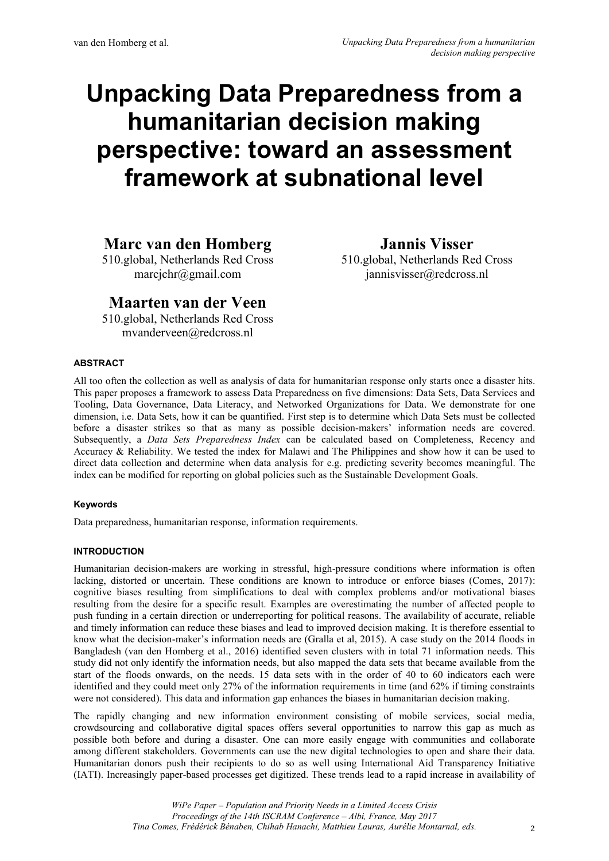# **Unpacking Data Preparedness from a humanitarian decision making perspective: toward an assessment framework at subnational level**

# **Marc van den Homberg**

510.global, Netherlands Red Cross marcjchr@gmail.com

**Jannis Visser**

510.global, Netherlands Red Cross jannisvisser@redcross.nl

# **Maarten van der Veen**

510.global, Netherlands Red Cross mvanderveen@redcross.nl

# **ABSTRACT**

All too often the collection as well as analysis of data for humanitarian response only starts once a disaster hits. This paper proposes a framework to assess Data Preparedness on five dimensions: Data Sets, Data Services and Tooling, Data Governance, Data Literacy, and Networked Organizations for Data. We demonstrate for one dimension, i.e. Data Sets, how it can be quantified. First step is to determine which Data Sets must be collected before a disaster strikes so that as many as possible decision-makers' information needs are covered. Subsequently, a *Data Sets Preparedness Index* can be calculated based on Completeness, Recency and Accuracy & Reliability. We tested the index for Malawi and The Philippines and show how it can be used to direct data collection and determine when data analysis for e.g. predicting severity becomes meaningful. The index can be modified for reporting on global policies such as the Sustainable Development Goals.

# **Keywords**

Data preparedness, humanitarian response, information requirements.

# **INTRODUCTION**

Humanitarian decision-makers are working in stressful, high-pressure conditions where information is often lacking, distorted or uncertain. These conditions are known to introduce or enforce biases (Comes, 2017): cognitive biases resulting from simplifications to deal with complex problems and/or motivational biases resulting from the desire for a specific result. Examples are overestimating the number of affected people to push funding in a certain direction or underreporting for political reasons. The availability of accurate, reliable and timely information can reduce these biases and lead to improved decision making. It is therefore essential to know what the decision-maker's information needs are (Gralla et al, 2015). A case study on the 2014 floods in Bangladesh (van den Homberg et al., 2016) identified seven clusters with in total 71 information needs. This study did not only identify the information needs, but also mapped the data sets that became available from the start of the floods onwards, on the needs. 15 data sets with in the order of 40 to 60 indicators each were identified and they could meet only 27% of the information requirements in time (and 62% if timing constraints were not considered). This data and information gap enhances the biases in humanitarian decision making.

The rapidly changing and new information environment consisting of mobile services, social media, crowdsourcing and collaborative digital spaces offers several opportunities to narrow this gap as much as possible both before and during a disaster. One can more easily engage with communities and collaborate among different stakeholders. Governments can use the new digital technologies to open and share their data. Humanitarian donors push their recipients to do so as well using International Aid Transparency Initiative (IATI). Increasingly paper-based processes get digitized. These trends lead to a rapid increase in availability of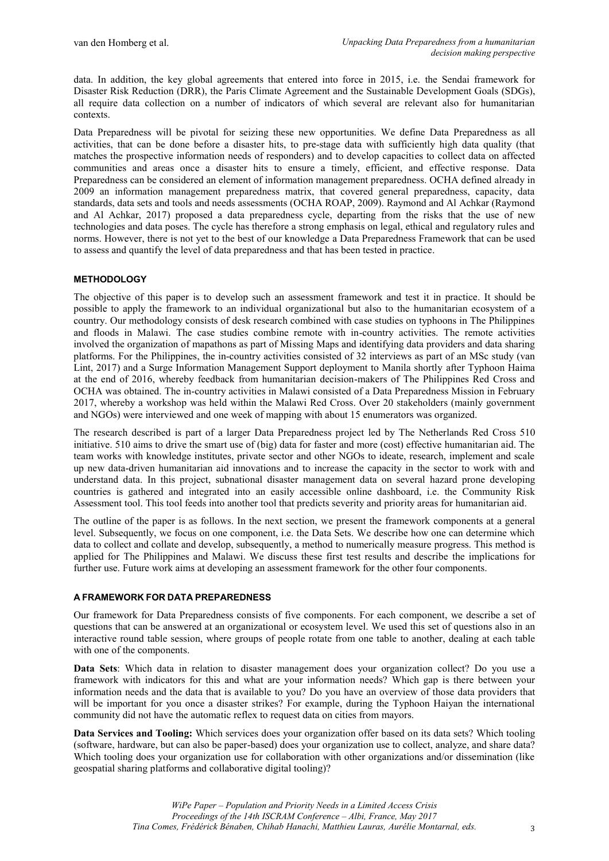data. In addition, the key global agreements that entered into force in 2015, i.e. the Sendai framework for Disaster Risk Reduction (DRR), the Paris Climate Agreement and the Sustainable Development Goals (SDGs), all require data collection on a number of indicators of which several are relevant also for humanitarian contexts.

Data Preparedness will be pivotal for seizing these new opportunities. We define Data Preparedness as all activities, that can be done before a disaster hits, to pre-stage data with sufficiently high data quality (that matches the prospective information needs of responders) and to develop capacities to collect data on affected communities and areas once a disaster hits to ensure a timely, efficient, and effective response. Data Preparedness can be considered an element of information management preparedness. OCHA defined already in 2009 an information management preparedness matrix, that covered general preparedness, capacity, data standards, data sets and tools and needs assessments (OCHA ROAP, 2009). Raymond and Al Achkar (Raymond and Al Achkar, 2017) proposed a data preparedness cycle, departing from the risks that the use of new technologies and data poses. The cycle has therefore a strong emphasis on legal, ethical and regulatory rules and norms. However, there is not yet to the best of our knowledge a Data Preparedness Framework that can be used to assess and quantify the level of data preparedness and that has been tested in practice.

## **METHODOLOGY**

The objective of this paper is to develop such an assessment framework and test it in practice. It should be possible to apply the framework to an individual organizational but also to the humanitarian ecosystem of a country. Our methodology consists of desk research combined with case studies on typhoons in The Philippines and floods in Malawi. The case studies combine remote with in-country activities. The remote activities involved the organization of mapathons as part of Missing Maps and identifying data providers and data sharing platforms. For the Philippines, the in-country activities consisted of 32 interviews as part of an MSc study (van Lint, 2017) and a Surge Information Management Support deployment to Manila shortly after Typhoon Haima at the end of 2016, whereby feedback from humanitarian decision-makers of The Philippines Red Cross and OCHA was obtained. The in-country activities in Malawi consisted of a Data Preparedness Mission in February 2017, whereby a workshop was held within the Malawi Red Cross. Over 20 stakeholders (mainly government and NGOs) were interviewed and one week of mapping with about 15 enumerators was organized.

The research described is part of a larger Data Preparedness project led by The Netherlands Red Cross 510 initiative. 510 aims to drive the smart use of (big) data for faster and more (cost) effective humanitarian aid. The team works with knowledge institutes, private sector and other NGOs to ideate, research, implement and scale up new data-driven humanitarian aid innovations and to increase the capacity in the sector to work with and understand data. In this project, subnational disaster management data on several hazard prone developing countries is gathered and integrated into an easily accessible online dashboard, i.e. the Community Risk Assessment tool. This tool feeds into another tool that predicts severity and priority areas for humanitarian aid.

The outline of the paper is as follows. In the next section, we present the framework components at a general level. Subsequently, we focus on one component, i.e. the Data Sets. We describe how one can determine which data to collect and collate and develop, subsequently, a method to numerically measure progress. This method is applied for The Philippines and Malawi. We discuss these first test results and describe the implications for further use. Future work aims at developing an assessment framework for the other four components.

#### **A FRAMEWORK FOR DATA PREPAREDNESS**

Our framework for Data Preparedness consists of five components. For each component, we describe a set of questions that can be answered at an organizational or ecosystem level. We used this set of questions also in an interactive round table session, where groups of people rotate from one table to another, dealing at each table with one of the components.

**Data Sets**: Which data in relation to disaster management does your organization collect? Do you use a framework with indicators for this and what are your information needs? Which gap is there between your information needs and the data that is available to you? Do you have an overview of those data providers that will be important for you once a disaster strikes? For example, during the Typhoon Haiyan the international community did not have the automatic reflex to request data on cities from mayors.

**Data Services and Tooling:** Which services does your organization offer based on its data sets? Which tooling (software, hardware, but can also be paper-based) does your organization use to collect, analyze, and share data? Which tooling does your organization use for collaboration with other organizations and/or dissemination (like geospatial sharing platforms and collaborative digital tooling)?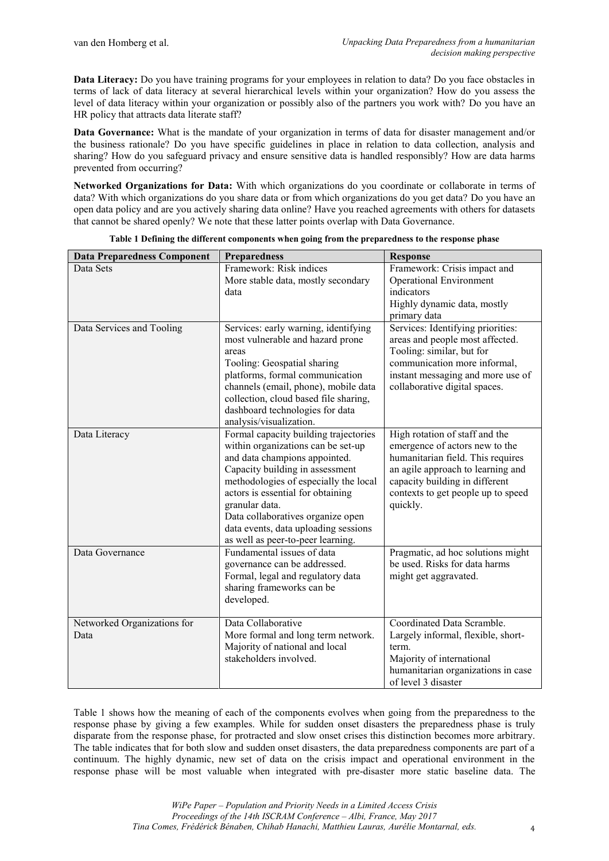**Data Literacy:** Do you have training programs for your employees in relation to data? Do you face obstacles in terms of lack of data literacy at several hierarchical levels within your organization? How do you assess the level of data literacy within your organization or possibly also of the partners you work with? Do you have an HR policy that attracts data literate staff?

**Data Governance:** What is the mandate of your organization in terms of data for disaster management and/or the business rationale? Do you have specific guidelines in place in relation to data collection, analysis and sharing? How do you safeguard privacy and ensure sensitive data is handled responsibly? How are data harms prevented from occurring?

**Networked Organizations for Data:** With which organizations do you coordinate or collaborate in terms of data? With which organizations do you share data or from which organizations do you get data? Do you have an open data policy and are you actively sharing data online? Have you reached agreements with others for datasets that cannot be shared openly? We note that these latter points overlap with Data Governance.

<span id="page-2-0"></span>

| <b>Data Preparedness Component</b> | <b>Preparedness</b>                                                     | <b>Response</b>                                                    |
|------------------------------------|-------------------------------------------------------------------------|--------------------------------------------------------------------|
| Data Sets                          | Framework: Risk indices                                                 | Framework: Crisis impact and                                       |
|                                    | More stable data, mostly secondary                                      | <b>Operational Environment</b>                                     |
|                                    | data                                                                    | indicators                                                         |
|                                    |                                                                         | Highly dynamic data, mostly                                        |
|                                    |                                                                         | primary data                                                       |
| Data Services and Tooling          | Services: early warning, identifying                                    | Services: Identifying priorities:                                  |
|                                    | most vulnerable and hazard prone                                        | areas and people most affected.                                    |
|                                    | areas                                                                   | Tooling: similar, but for                                          |
|                                    | Tooling: Geospatial sharing                                             | communication more informal,<br>instant messaging and more use of  |
|                                    | platforms, formal communication<br>channels (email, phone), mobile data | collaborative digital spaces.                                      |
|                                    | collection, cloud based file sharing,                                   |                                                                    |
|                                    | dashboard technologies for data                                         |                                                                    |
|                                    | analysis/visualization.                                                 |                                                                    |
| Data Literacy                      | Formal capacity building trajectories                                   | High rotation of staff and the                                     |
|                                    | within organizations can be set-up                                      | emergence of actors new to the                                     |
|                                    | and data champions appointed.                                           | humanitarian field. This requires                                  |
|                                    | Capacity building in assessment                                         | an agile approach to learning and                                  |
|                                    | methodologies of especially the local                                   | capacity building in different                                     |
|                                    | actors is essential for obtaining                                       | contexts to get people up to speed                                 |
|                                    | granular data.                                                          | quickly.                                                           |
|                                    | Data collaboratives organize open                                       |                                                                    |
|                                    | data events, data uploading sessions                                    |                                                                    |
|                                    | as well as peer-to-peer learning.<br>Fundamental issues of data         |                                                                    |
| Data Governance                    |                                                                         | Pragmatic, ad hoc solutions might<br>be used. Risks for data harms |
|                                    | governance can be addressed.<br>Formal, legal and regulatory data       | might get aggravated.                                              |
|                                    | sharing frameworks can be                                               |                                                                    |
|                                    | developed.                                                              |                                                                    |
|                                    |                                                                         |                                                                    |
| Networked Organizations for        | Data Collaborative                                                      | Coordinated Data Scramble.                                         |
| Data                               | More formal and long term network.                                      | Largely informal, flexible, short-                                 |
|                                    | Majority of national and local                                          | term.                                                              |
|                                    | stakeholders involved.                                                  | Majority of international                                          |
|                                    |                                                                         | humanitarian organizations in case                                 |
|                                    |                                                                         | of level 3 disaster                                                |

|  | Table 1 Defining the different components when going from the preparedness to the response phase |  |  |
|--|--------------------------------------------------------------------------------------------------|--|--|
|  |                                                                                                  |  |  |

[Table 1](#page-2-0) shows how the meaning of each of the components evolves when going from the preparedness to the response phase by giving a few examples. While for sudden onset disasters the preparedness phase is truly disparate from the response phase, for protracted and slow onset crises this distinction becomes more arbitrary. The table indicates that for both slow and sudden onset disasters, the data preparedness components are part of a continuum. The highly dynamic, new set of data on the crisis impact and operational environment in the response phase will be most valuable when integrated with pre-disaster more static baseline data. The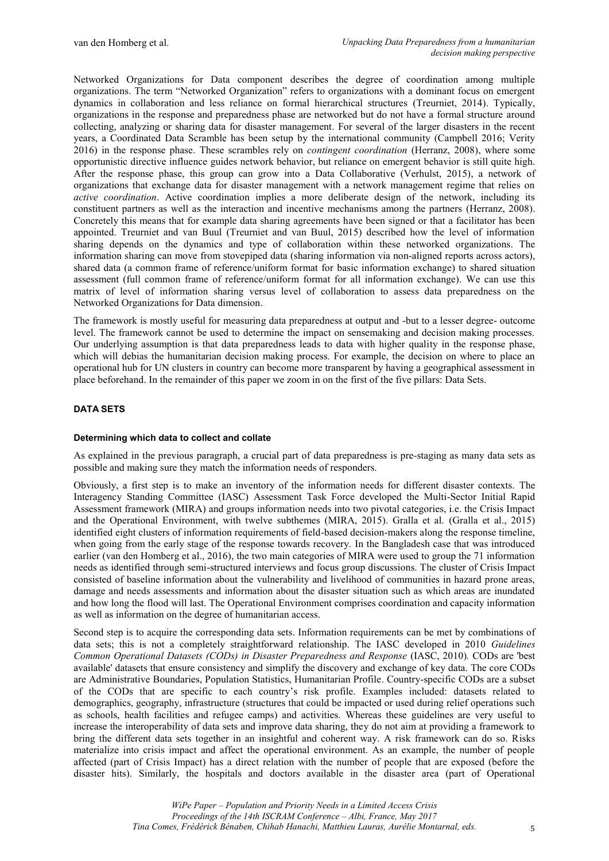Networked Organizations for Data component describes the degree of coordination among multiple organizations. The term "Networked Organization" refers to organizations with a dominant focus on emergent dynamics in collaboration and less reliance on formal hierarchical structures (Treurniet, 2014). Typically, organizations in the response and preparedness phase are networked but do not have a formal structure around collecting, analyzing or sharing data for disaster management. For several of the larger disasters in the recent years, a Coordinated Data Scramble has been setup by the international community (Campbell 2016; Verity 2016) in the response phase. These scrambles rely on *contingent coordination* (Herranz, 2008), where some opportunistic directive influence guides network behavior, but reliance on emergent behavior is still quite high. After the response phase, this group can grow into a Data Collaborative (Verhulst, 2015), a network of organizations that exchange data for disaster management with a network management regime that relies on *active coordination*. Active coordination implies a more deliberate design of the network, including its constituent partners as well as the interaction and incentive mechanisms among the partners (Herranz, 2008). Concretely this means that for example data sharing agreements have been signed or that a facilitator has been appointed. Treurniet and van Buul (Treurniet and van Buul, 2015) described how the level of information sharing depends on the dynamics and type of collaboration within these networked organizations. The information sharing can move from stovepiped data (sharing information via non-aligned reports across actors), shared data (a common frame of reference/uniform format for basic information exchange) to shared situation assessment (full common frame of reference/uniform format for all information exchange). We can use this matrix of level of information sharing versus level of collaboration to assess data preparedness on the Networked Organizations for Data dimension.

The framework is mostly useful for measuring data preparedness at output and -but to a lesser degree- outcome level. The framework cannot be used to determine the impact on sensemaking and decision making processes. Our underlying assumption is that data preparedness leads to data with higher quality in the response phase, which will debias the humanitarian decision making process. For example, the decision on where to place an operational hub for UN clusters in country can become more transparent by having a geographical assessment in place beforehand. In the remainder of this paper we zoom in on the first of the five pillars: Data Sets.

## **DATA SETS**

#### **Determining which data to collect and collate**

As explained in the previous paragraph, a crucial part of data preparedness is pre-staging as many data sets as possible and making sure they match the information needs of responders.

Obviously, a first step is to make an inventory of the information needs for different disaster contexts. The Interagency Standing Committee (IASC) Assessment Task Force developed the Multi-Sector Initial Rapid Assessment framework (MIRA) and groups information needs into two pivotal categories, i.e. the Crisis Impact and the Operational Environment, with twelve subthemes (MIRA, 2015). Gralla et al. (Gralla et al., 2015) identified eight clusters of information requirements of field-based decision-makers along the response timeline, when going from the early stage of the response towards recovery. In the Bangladesh case that was introduced earlier (van den Homberg et al., 2016), the two main categories of MIRA were used to group the 71 information needs as identified through semi-structured interviews and focus group discussions. The cluster of Crisis Impact consisted of baseline information about the vulnerability and livelihood of communities in hazard prone areas, damage and needs assessments and information about the disaster situation such as which areas are inundated and how long the flood will last. The Operational Environment comprises coordination and capacity information as well as information on the degree of humanitarian access.

Second step is to acquire the corresponding data sets. Information requirements can be met by combinations of data sets; this is not a completely straightforward relationship. The IASC developed in 2010 *Guidelines Common Operational Datasets (CODs) in Disaster Preparedness and Response* (IASC, 2010)*.* CODs are 'best available' datasets that ensure consistency and simplify the discovery and exchange of key data. The core CODs are Administrative Boundaries, Population Statistics, Humanitarian Profile. Country-specific CODs are a subset of the CODs that are specific to each country's risk profile. Examples included: datasets related to demographics, geography, infrastructure (structures that could be impacted or used during relief operations such as schools, health facilities and refugee camps) and activities. Whereas these guidelines are very useful to increase the interoperability of data sets and improve data sharing, they do not aim at providing a framework to bring the different data sets together in an insightful and coherent way. A risk framework can do so. Risks materialize into crisis impact and affect the operational environment. As an example, the number of people affected (part of Crisis Impact) has a direct relation with the number of people that are exposed (before the disaster hits). Similarly, the hospitals and doctors available in the disaster area (part of Operational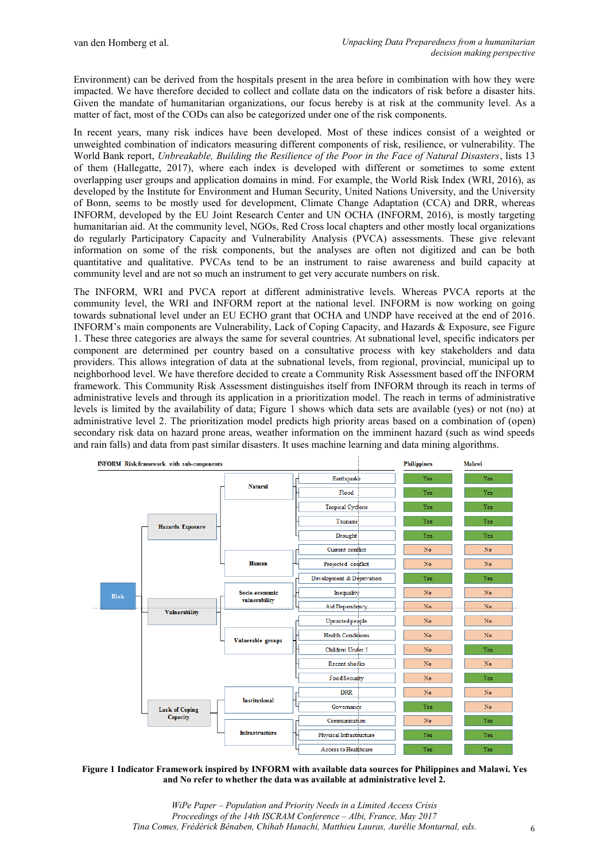Environment) can be derived from the hospitals present in the area before in combination with how they were impacted. We have therefore decided to collect and collate data on the indicators of risk before a disaster hits. Given the mandate of humanitarian organizations, our focus hereby is at risk at the community level. As a matter of fact, most of the CODs can also be categorized under one of the risk components.

In recent years, many risk indices have been developed. Most of these indices consist of a weighted or unweighted combination of indicators measuring different components of risk, resilience, or vulnerability. The World Bank report, *Unbreakable, Building the Resilience of the Poor in the Face of Natural Disasters*, lists 13 of them (Hallegatte, 2017), where each index is developed with different or sometimes to some extent overlapping user groups and application domains in mind. For example, the World Risk Index (WRI, 2016), as developed by the Institute for Environment and Human Security, United Nations University, and the University of Bonn, seems to be mostly used for development, Climate Change Adaptation (CCA) and DRR, whereas INFORM, developed by the EU Joint Research Center and UN OCHA (INFORM, 2016), is mostly targeting humanitarian aid. At the community level, NGOs, Red Cross local chapters and other mostly local organizations do regularly Participatory Capacity and Vulnerability Analysis (PVCA) assessments. These give relevant information on some of the risk components, but the analyses are often not digitized and can be both quantitative and qualitative. PVCAs tend to be an instrument to raise awareness and build capacity at community level and are not so much an instrument to get very accurate numbers on risk.

The INFORM, WRI and PVCA report at different administrative levels. Whereas PVCA reports at the community level, the WRI and INFORM report at the national level. INFORM is now working on going towards subnational level under an EU ECHO grant that OCHA and UNDP have received at the end of 2016. INFORM's main components are Vulnerability, Lack of Coping Capacity, and Hazards & Exposure, see Figure 1. These three categories are always the same for several countries. At subnational level, specific indicators per component are determined per country based on a consultative process with key stakeholders and data providers. This allows integration of data at the subnational levels, from regional, provincial, municipal up to neighborhood level. We have therefore decided to create a Community Risk Assessment based off the INFORM framework. This Community Risk Assessment distinguishes itself from INFORM through its reach in terms of administrative levels and through its application in a prioritization model. The reach in terms of administrative levels is limited by the availability of data; Figure 1 shows which data sets are available (yes) or not (no) at administrative level 2. The prioritization model predicts high priority areas based on a combination of (open) secondary risk data on hazard prone areas, weather information on the imminent hazard (such as wind speeds and rain falls) and data from past similar disasters. It uses machine learning and data mining algorithms.



**Figure 1 Indicator Framework inspired by INFORM with available data sources for Philippines and Malawi. Yes and No refer to whether the data was available at administrative level 2.**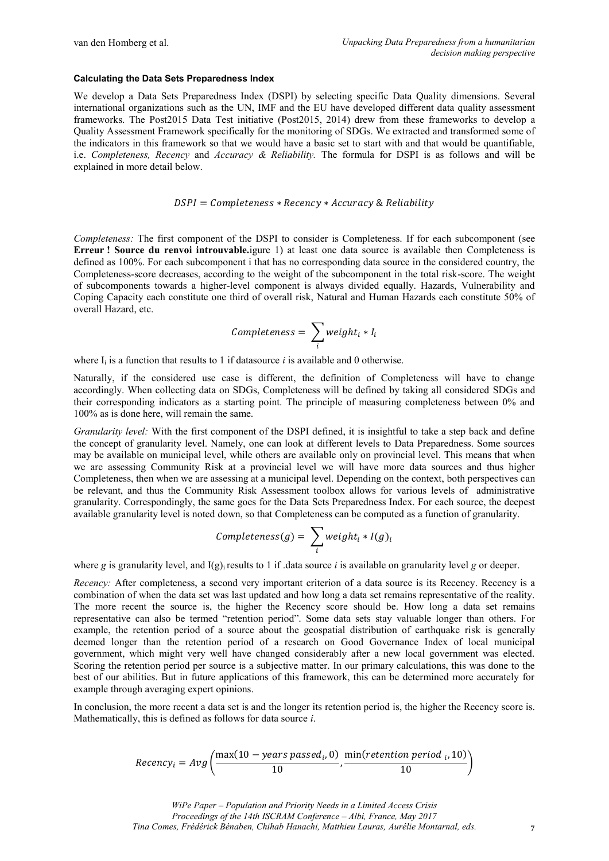#### **Calculating the Data Sets Preparedness Index**

We develop a Data Sets Preparedness Index (DSPI) by selecting specific Data Quality dimensions. Several international organizations such as the UN, IMF and the EU have developed different data quality assessment frameworks. The Post2015 Data Test initiative (Post2015, 2014) drew from these frameworks to develop a Quality Assessment Framework specifically for the monitoring of SDGs. We extracted and transformed some of the indicators in this framework so that we would have a basic set to start with and that would be quantifiable, i.e. *Completeness, Recency* and *Accuracy & Reliability.* The formula for DSPI is as follows and will be explained in more detail below.

#### $DSPI = Completeness * Recency * Accuracy & Reliability$

*Completeness:* The first component of the DSPI to consider is Completeness. If for each subcomponent (see **Erreur ! Source du renvoi introuvable.**igure 1) at least one data source is available then Completeness is defined as 100%. For each subcomponent i that has no corresponding data source in the considered country, the Completeness-score decreases, according to the weight of the subcomponent in the total risk-score. The weight of subcomponents towards a higher-level component is always divided equally. Hazards, Vulnerability and Coping Capacity each constitute one third of overall risk, Natural and Human Hazards each constitute 50% of overall Hazard, etc.

$$
Completeness = \sum_{i} weight_i * I_i
$$

where  $I_i$  is a function that results to 1 if datasource *i* is available and 0 otherwise.

Naturally, if the considered use case is different, the definition of Completeness will have to change accordingly. When collecting data on SDGs, Completeness will be defined by taking all considered SDGs and their corresponding indicators as a starting point. The principle of measuring completeness between 0% and 100% as is done here, will remain the same.

*Granularity level:* With the first component of the DSPI defined, it is insightful to take a step back and define the concept of granularity level. Namely, one can look at different levels to Data Preparedness. Some sources may be available on municipal level, while others are available only on provincial level. This means that when we are assessing Community Risk at a provincial level we will have more data sources and thus higher Completeness, then when we are assessing at a municipal level. Depending on the context, both perspectives can be relevant, and thus the Community Risk Assessment toolbox allows for various levels of administrative granularity. Correspondingly, the same goes for the Data Sets Preparedness Index. For each source, the deepest available granularity level is noted down, so that Completeness can be computed as a function of granularity.

$$
Completeness(g) = \sum_{i} weight_i * I(g)_i
$$

where *g* is granularity level, and  $I(g)$  results to 1 if .data source *i* is available on granularity level *g* or deeper.

*Recency:* After completeness, a second very important criterion of a data source is its Recency. Recency is a combination of when the data set was last updated and how long a data set remains representative of the reality. The more recent the source is, the higher the Recency score should be. How long a data set remains representative can also be termed "retention period". Some data sets stay valuable longer than others. For example, the retention period of a source about the geospatial distribution of earthquake risk is generally deemed longer than the retention period of a research on Good Governance Index of local municipal government, which might very well have changed considerably after a new local government was elected. Scoring the retention period per source is a subjective matter. In our primary calculations, this was done to the best of our abilities. But in future applications of this framework, this can be determined more accurately for example through averaging expert opinions.

In conclusion, the more recent a data set is and the longer its retention period is, the higher the Recency score is. Mathematically, this is defined as follows for data source *i*.

$$
Recency_i = Avg\left(\frac{\max(10 - years passed_i, 0)}{10}, \frac{\min(retention period_i, 10)}{10}\right)
$$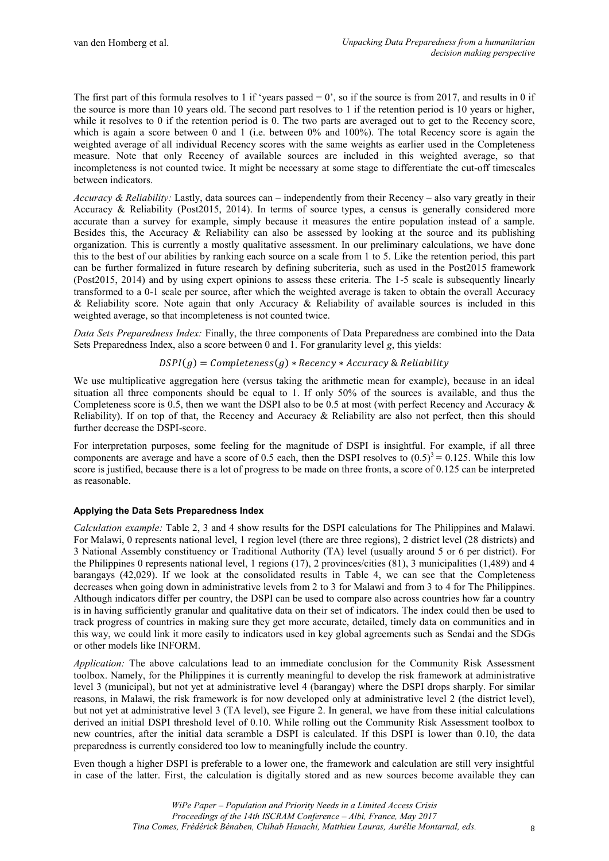The first part of this formula resolves to 1 if 'years passed  $= 0$ ', so if the source is from 2017, and results in 0 if the source is more than 10 years old. The second part resolves to 1 if the retention period is 10 years or higher, while it resolves to 0 if the retention period is 0. The two parts are averaged out to get to the Recency score, which is again a score between 0 and 1 (i.e. between 0% and 100%). The total Recency score is again the weighted average of all individual Recency scores with the same weights as earlier used in the Completeness measure. Note that only Recency of available sources are included in this weighted average, so that incompleteness is not counted twice. It might be necessary at some stage to differentiate the cut-off timescales between indicators.

*Accuracy & Reliability:* Lastly, data sources can – independently from their Recency – also vary greatly in their Accuracy & Reliability (Post2015, 2014). In terms of source types, a census is generally considered more accurate than a survey for example, simply because it measures the entire population instead of a sample. Besides this, the Accuracy & Reliability can also be assessed by looking at the source and its publishing organization. This is currently a mostly qualitative assessment. In our preliminary calculations, we have done this to the best of our abilities by ranking each source on a scale from 1 to 5. Like the retention period, this part can be further formalized in future research by defining subcriteria, such as used in the Post2015 framework (Post2015, 2014) and by using expert opinions to assess these criteria. The 1-5 scale is subsequently linearly transformed to a 0-1 scale per source, after which the weighted average is taken to obtain the overall Accuracy & Reliability score. Note again that only Accuracy & Reliability of available sources is included in this weighted average, so that incompleteness is not counted twice.

*Data Sets Preparedness Index:* Finally, the three components of Data Preparedness are combined into the Data Sets Preparedness Index, also a score between 0 and 1. For granularity level *g*, this yields:

#### $DSPI(g) = Completeness(g) * Recency * Accuracy & Reliability$

We use multiplicative aggregation here (versus taking the arithmetic mean for example), because in an ideal situation all three components should be equal to 1. If only 50% of the sources is available, and thus the Completeness score is 0.5, then we want the DSPI also to be 0.5 at most (with perfect Recency and Accuracy & Reliability). If on top of that, the Recency and Accuracy & Reliability are also not perfect, then this should further decrease the DSPI-score.

For interpretation purposes, some feeling for the magnitude of DSPI is insightful. For example, if all three components are average and have a score of 0.5 each, then the DSPI resolves to  $(0.5)^3 = 0.125$ . While this low score is justified, because there is a lot of progress to be made on three fronts, a score of 0.125 can be interpreted as reasonable.

#### **Applying the Data Sets Preparedness Index**

*Calculation example:* Table 2, 3 and 4 show results for the DSPI calculations for The Philippines and Malawi. For Malawi, 0 represents national level, 1 region level (there are three regions), 2 district level (28 districts) and 3 National Assembly constituency or Traditional Authority (TA) level (usually around 5 or 6 per district). For the Philippines 0 represents national level, 1 regions (17), 2 provinces/cities (81), 3 municipalities (1,489) and 4 barangays (42,029). If we look at the consolidated results in Table 4, we can see that the Completeness decreases when going down in administrative levels from 2 to 3 for Malawi and from 3 to 4 for The Philippines. Although indicators differ per country, the DSPI can be used to compare also across countries how far a country is in having sufficiently granular and qualitative data on their set of indicators. The index could then be used to track progress of countries in making sure they get more accurate, detailed, timely data on communities and in this way, we could link it more easily to indicators used in key global agreements such as Sendai and the SDGs or other models like INFORM.

*Application:* The above calculations lead to an immediate conclusion for the Community Risk Assessment toolbox. Namely, for the Philippines it is currently meaningful to develop the risk framework at administrative level 3 (municipal), but not yet at administrative level 4 (barangay) where the DSPI drops sharply. For similar reasons, in Malawi, the risk framework is for now developed only at administrative level 2 (the district level), but not yet at administrative level 3 (TA level), see Figure 2. In general, we have from these initial calculations derived an initial DSPI threshold level of 0.10. While rolling out the Community Risk Assessment toolbox to new countries, after the initial data scramble a DSPI is calculated. If this DSPI is lower than 0.10, the data preparedness is currently considered too low to meaningfully include the country.

Even though a higher DSPI is preferable to a lower one, the framework and calculation are still very insightful in case of the latter. First, the calculation is digitally stored and as new sources become available they can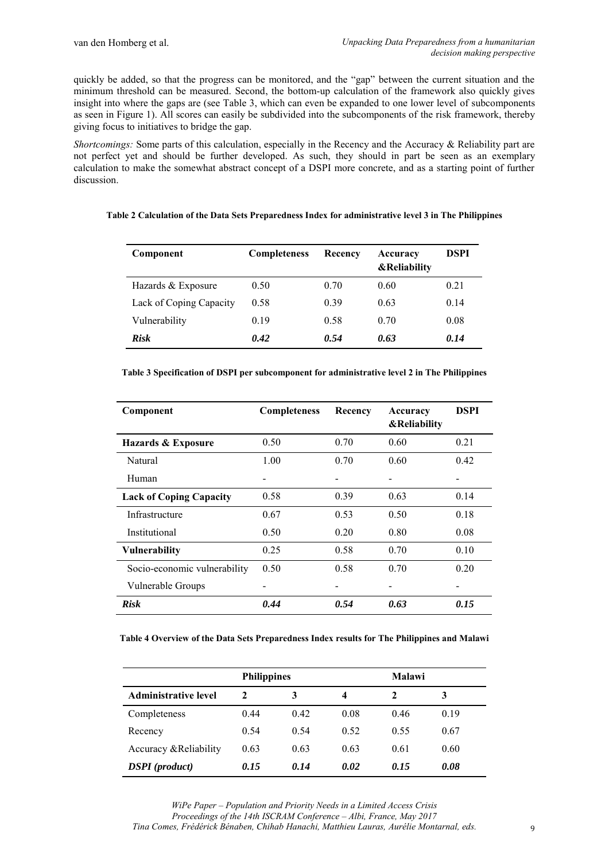quickly be added, so that the progress can be monitored, and the "gap" between the current situation and the minimum threshold can be measured. Second, the bottom-up calculation of the framework also quickly gives insight into where the gaps are (see Table 3, which can even be expanded to one lower level of subcomponents as seen in Figure 1). All scores can easily be subdivided into the subcomponents of the risk framework, thereby giving focus to initiatives to bridge the gap.

*Shortcomings:* Some parts of this calculation, especially in the Recency and the Accuracy & Reliability part are not perfect yet and should be further developed. As such, they should in part be seen as an exemplary calculation to make the somewhat abstract concept of a DSPI more concrete, and as a starting point of further discussion.

|  |  | Table 2 Calculation of the Data Sets Preparedness Index for administrative level 3 in The Philippines |  |
|--|--|-------------------------------------------------------------------------------------------------------|--|
|  |  |                                                                                                       |  |

| Component               | <b>Completeness</b> | Recency | Accuracy<br><b>&amp;Reliability</b> | DSPI |
|-------------------------|---------------------|---------|-------------------------------------|------|
| Hazards & Exposure      | 0.50                | 0.70    | 0.60                                | 0.21 |
| Lack of Coping Capacity | 0.58                | 0.39    | 0.63                                | 0.14 |
| Vulnerability           | 0.19                | 0.58    | 0.70                                | 0.08 |
| <b>Risk</b>             | 0.42                | 0.54    | 0.63                                | 0.14 |

| Component                      | <b>Completeness</b> | Recency | Accuracy<br>&Reliability | <b>DSPI</b> |
|--------------------------------|---------------------|---------|--------------------------|-------------|
| Hazards & Exposure             | 0.50                | 0.70    | 0.60                     | 0.21        |
| Natural                        | 1.00                | 0.70    | 0.60                     | 0.42        |
| Human                          |                     |         |                          |             |
| <b>Lack of Coping Capacity</b> | 0.58                | 0.39    | 0.63                     | 0.14        |
| Infrastructure                 | 0.67                | 0.53    | 0.50                     | 0.18        |
| Institutional                  | 0.50                | 0.20    | 0.80                     | 0.08        |
| <b>Vulnerability</b>           | 0.25                | 0.58    | 0.70                     | 0.10        |
| Socio-economic vulnerability   | 0.50                | 0.58    | 0.70                     | 0.20        |
| Vulnerable Groups              |                     |         |                          |             |
| <b>Risk</b>                    | 0.44                | 0.54    | 0.63                     | 0.15        |

**Table 4 Overview of the Data Sets Preparedness Index results for The Philippines and Malawi**

|                                | <b>Philippines</b> |      |      | <b>Malawi</b> |      |
|--------------------------------|--------------------|------|------|---------------|------|
| <b>Administrative level</b>    | $\mathbf{2}$       |      | 4    | 2             | 3    |
| Completeness                   | 0.44               | 0.42 | 0.08 | 0.46          | 0.19 |
| Recency                        | 0.54               | 0.54 | 0.52 | 0.55          | 0.67 |
| Accuracy & Reliability         | 0.63               | 0.63 | 0.63 | 0.61          | 0.60 |
| <b>DSPI</b> ( <i>product</i> ) | 0.15               | 0.14 | 0.02 | 0.15          | 0.08 |

*WiPe Paper – Population and Priority Needs in a Limited Access Crisis Proceedings of the 14th ISCRAM Conference – Albi, France, May 2017 Tina Comes, Frédérick Bénaben, Chihab Hanachi, Matthieu Lauras, Aurélie Montarnal, eds.*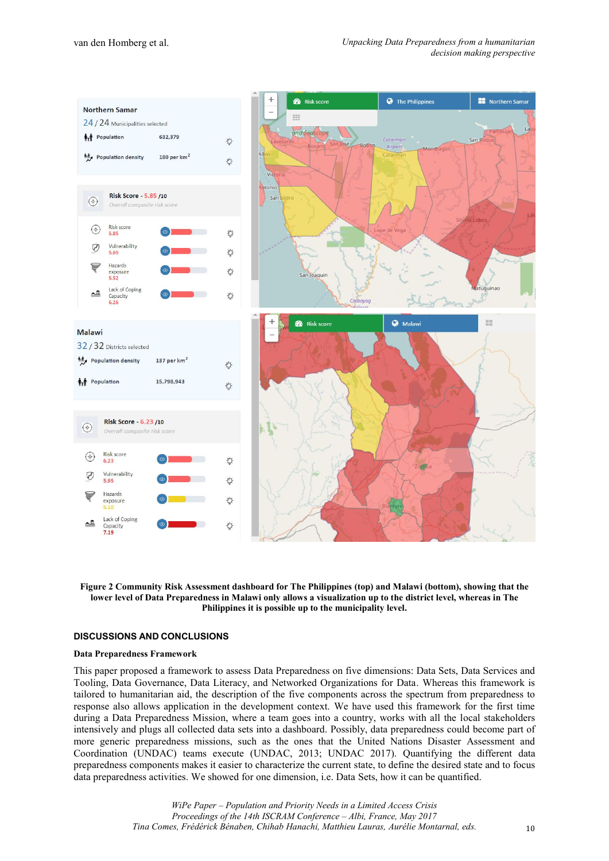



#### **DISCUSSIONS AND CONCLUSIONS**

#### **Data Preparedness Framework**

This paper proposed a framework to assess Data Preparedness on five dimensions: Data Sets, Data Services and Tooling, Data Governance, Data Literacy, and Networked Organizations for Data. Whereas this framework is tailored to humanitarian aid, the description of the five components across the spectrum from preparedness to response also allows application in the development context. We have used this framework for the first time during a Data Preparedness Mission, where a team goes into a country, works with all the local stakeholders intensively and plugs all collected data sets into a dashboard. Possibly, data preparedness could become part of more generic preparedness missions, such as the ones that the United Nations Disaster Assessment and Coordination (UNDAC) teams execute (UNDAC, 2013; UNDAC 2017). Quantifying the different data preparedness components makes it easier to characterize the current state, to define the desired state and to focus data preparedness activities. We showed for one dimension, i.e. Data Sets, how it can be quantified.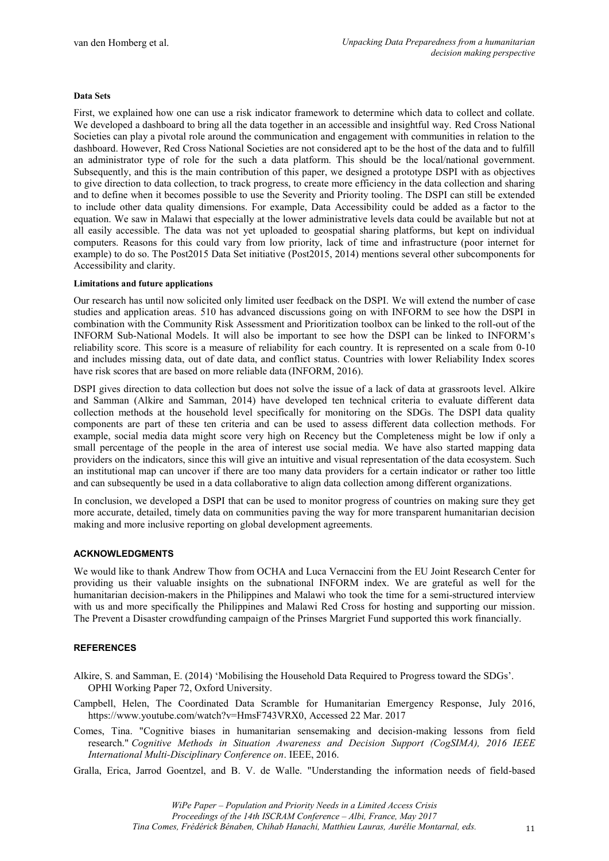#### **Data Sets**

First, we explained how one can use a risk indicator framework to determine which data to collect and collate. We developed a dashboard to bring all the data together in an accessible and insightful way. Red Cross National Societies can play a pivotal role around the communication and engagement with communities in relation to the dashboard. However, Red Cross National Societies are not considered apt to be the host of the data and to fulfill an administrator type of role for the such a data platform. This should be the local/national government. Subsequently, and this is the main contribution of this paper, we designed a prototype DSPI with as objectives to give direction to data collection, to track progress, to create more efficiency in the data collection and sharing and to define when it becomes possible to use the Severity and Priority tooling. The DSPI can still be extended to include other data quality dimensions. For example, Data Accessibility could be added as a factor to the equation. We saw in Malawi that especially at the lower administrative levels data could be available but not at all easily accessible. The data was not yet uploaded to geospatial sharing platforms, but kept on individual computers. Reasons for this could vary from low priority, lack of time and infrastructure (poor internet for example) to do so. The Post2015 Data Set initiative (Post2015, 2014) mentions several other subcomponents for Accessibility and clarity.

#### **Limitations and future applications**

Our research has until now solicited only limited user feedback on the DSPI. We will extend the number of case studies and application areas. 510 has advanced discussions going on with INFORM to see how the DSPI in combination with the Community Risk Assessment and Prioritization toolbox can be linked to the roll-out of the INFORM Sub-National Models. It will also be important to see how the DSPI can be linked to INFORM's reliability score. This score is a measure of reliability for each country. It is represented on a scale from 0-10 and includes missing data, out of date data, and conflict status. Countries with lower Reliability Index scores have risk scores that are based on more reliable data (INFORM, 2016).

DSPI gives direction to data collection but does not solve the issue of a lack of data at grassroots level. Alkire and Samman (Alkire and Samman, 2014) have developed ten technical criteria to evaluate different data collection methods at the household level specifically for monitoring on the SDGs. The DSPI data quality components are part of these ten criteria and can be used to assess different data collection methods. For example, social media data might score very high on Recency but the Completeness might be low if only a small percentage of the people in the area of interest use social media. We have also started mapping data providers on the indicators, since this will give an intuitive and visual representation of the data ecosystem. Such an institutional map can uncover if there are too many data providers for a certain indicator or rather too little and can subsequently be used in a data collaborative to align data collection among different organizations.

In conclusion, we developed a DSPI that can be used to monitor progress of countries on making sure they get more accurate, detailed, timely data on communities paving the way for more transparent humanitarian decision making and more inclusive reporting on global development agreements.

#### **ACKNOWLEDGMENTS**

We would like to thank Andrew Thow from OCHA and Luca Vernaccini from the EU Joint Research Center for providing us their valuable insights on the subnational INFORM index. We are grateful as well for the humanitarian decision-makers in the Philippines and Malawi who took the time for a semi-structured interview with us and more specifically the Philippines and Malawi Red Cross for hosting and supporting our mission. The Prevent a Disaster crowdfunding campaign of the Prinses Margriet Fund supported this work financially.

#### **REFERENCES**

Alkire, S. and Samman, E. (2014) 'Mobilising the Household Data Required to Progress toward the SDGs'. OPHI Working Paper 72, Oxford University.

- Campbell, Helen, The Coordinated Data Scramble for Humanitarian Emergency Response, July 2016, https://www.youtube.com/watch?v=HmsF743VRX0, Accessed 22 Mar. 2017
- Comes, Tina. "Cognitive biases in humanitarian sensemaking and decision-making lessons from field research." *Cognitive Methods in Situation Awareness and Decision Support (CogSIMA), 2016 IEEE International Multi-Disciplinary Conference on*. IEEE, 2016.
- Gralla, Erica, Jarrod Goentzel, and B. V. de Walle. "Understanding the information needs of field-based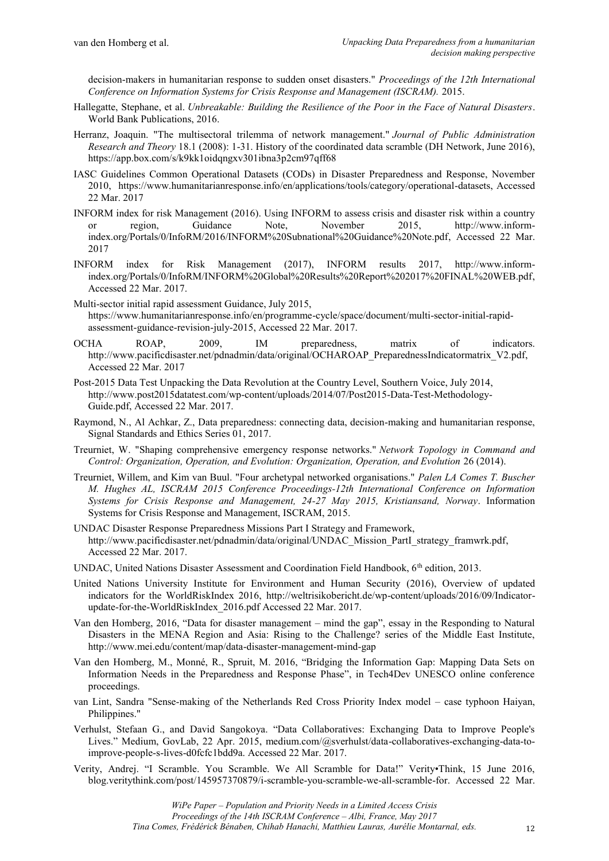decision-makers in humanitarian response to sudden onset disasters." *Proceedings of the 12th International Conference on Information Systems for Crisis Response and Management (ISCRAM).* 2015.

- Hallegatte, Stephane, et al. *Unbreakable: Building the Resilience of the Poor in the Face of Natural Disasters*. World Bank Publications, 2016.
- Herranz, Joaquin. "The multisectoral trilemma of network management." *Journal of Public Administration Research and Theory* 18.1 (2008): 1-31. History of the coordinated data scramble (DH Network, June 2016), https://app.box.com/s/k9kk1oidqngxv301ibna3p2cm97qff68
- IASC Guidelines Common Operational Datasets (CODs) in Disaster Preparedness and Response, November 2010, https://www.humanitarianresponse.info/en/applications/tools/category/operational-datasets, Accessed 22 Mar. 2017
- INFORM index for risk Management (2016). Using INFORM to assess crisis and disaster risk within a country or region, Guidance Note, November 2015, http://www.informor region, Guidance Note, November 2015, http://www.informindex.org/Portals/0/InfoRM/2016/INFORM%20Subnational%20Guidance%20Note.pdf, Accessed 22 Mar. 2017
- INFORM index for Risk Management (2017), INFORM results 2017, http://www.informindex.org/Portals/0/InfoRM/INFORM%20Global%20Results%20Report%202017%20FINAL%20WEB.pdf, Accessed 22 Mar. 2017.
- Multi-sector initial rapid assessment Guidance, July 2015, https://www.humanitarianresponse.info/en/programme-cycle/space/document/multi-sector-initial-rapidassessment-guidance-revision-july-2015, Accessed 22 Mar. 2017.
- OCHA ROAP, 2009, IM preparedness, matrix of indicators. http://www.pacificdisaster.net/pdnadmin/data/original/OCHAROAP\_PreparednessIndicatormatrix\_V2.pdf, Accessed 22 Mar. 2017
- Post-2015 Data Test Unpacking the Data Revolution at the Country Level, Southern Voice, July 2014, http://www.post2015datatest.com/wp-content/uploads/2014/07/Post2015-Data-Test-Methodology-Guide.pdf, Accessed 22 Mar. 2017.
- Raymond, N., Al Achkar, Z., Data preparedness: connecting data, decision-making and humanitarian response, Signal Standards and Ethics Series 01, 2017.
- Treurniet, W. "Shaping comprehensive emergency response networks." *Network Topology in Command and Control: Organization, Operation, and Evolution: Organization, Operation, and Evolution* 26 (2014).
- Treurniet, Willem, and Kim van Buul. "Four archetypal networked organisations." *Palen LA Comes T. Buscher M. Hughes AL, ISCRAM 2015 Conference Proceedings-12th International Conference on Information Systems for Crisis Response and Management, 24-27 May 2015, Kristiansand, Norway*. Information Systems for Crisis Response and Management, ISCRAM, 2015.
- UNDAC Disaster Response Preparedness Missions Part I Strategy and Framework, http://www.pacificdisaster.net/pdnadmin/data/original/UNDAC\_Mission\_PartI\_strategy\_framwrk.pdf, Accessed 22 Mar. 2017.
- UNDAC, United Nations Disaster Assessment and Coordination Field Handbook, 6<sup>th</sup> edition, 2013.
- United Nations University Institute for Environment and Human Security (2016), Overview of updated indicators for the WorldRiskIndex 2016, http://weltrisikobericht.de/wp-content/uploads/2016/09/Indicatorupdate-for-the-WorldRiskIndex\_2016.pdf Accessed 22 Mar. 2017.
- Van den Homberg, 2016, "Data for disaster management mind the gap", essay in the Responding to Natural Disasters in the MENA Region and Asia: Rising to the Challenge? series of the Middle East Institute, http://www.mei.edu/content/map/data-disaster-management-mind-gap
- Van den Homberg, M., Monné, R., Spruit, M. 2016, "Bridging the Information Gap: Mapping Data Sets on Information Needs in the Preparedness and Response Phase", in Tech4Dev UNESCO online conference proceedings.
- van Lint, Sandra "Sense-making of the Netherlands Red Cross Priority Index model case typhoon Haiyan, Philippines."
- Verhulst, Stefaan G., and David Sangokoya. "Data Collaboratives: Exchanging Data to Improve People's Lives." Medium, GovLab, 22 Apr. 2015, medium.com/@sverhulst/data-collaboratives-exchanging-data-toimprove-people-s-lives-d0fcfc1bdd9a. Accessed 22 Mar. 2017.
- Verity, Andrej. "I Scramble. You Scramble. We All Scramble for Data!" Verity•Think, 15 June 2016, blog.veritythink.com/post/145957370879/i-scramble-you-scramble-we-all-scramble-for. Accessed 22 Mar.